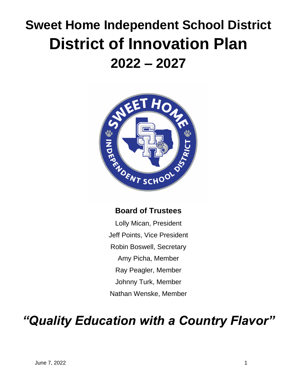# **Sweet Home Independent School District District of Innovation Plan 2022 – 2027**



## **Board of Trustees**

Lolly Mican, President Jeff Points, Vice President Robin Boswell, Secretary Amy Picha, Member Ray Peagler, Member Johnny Turk, Member Nathan Wenske, Member

## *"Quality Education with a Country Flavor"*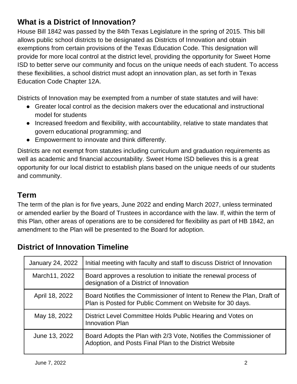## **What is a District of Innovation?**

House Bill 1842 was passed by the 84th Texas Legislature in the spring of 2015. This bill allows public school districts to be designated as Districts of Innovation and obtain exemptions from certain provisions of the Texas Education Code. This designation will provide for more local control at the district level, providing the opportunity for Sweet Home ISD to better serve our community and focus on the unique needs of each student. To access these flexibilities, a school district must adopt an innovation plan, as set forth in Texas Education Code Chapter 12A.

Districts of Innovation may be exempted from a number of state statutes and will have:

- Greater local control as the decision makers over the educational and instructional model for students
- Increased freedom and flexibility, with accountability, relative to state mandates that govern educational programming; and
- Empowerment to innovate and think differently.

Districts are not exempt from statutes including curriculum and graduation requirements as well as academic and financial accountability. Sweet Home ISD believes this is a great opportunity for our local district to establish plans based on the unique needs of our students and community.

## **Term**

The term of the plan is for five years, June 2022 and ending March 2027, unless terminated or amended earlier by the Board of Trustees in accordance with the law. If, within the term of this Plan, other areas of operations are to be considered for flexibility as part of HB 1842, an amendment to the Plan will be presented to the Board for adoption.

| January 24, 2022 | Initial meeting with faculty and staff to discuss District of Innovation                                                           |
|------------------|------------------------------------------------------------------------------------------------------------------------------------|
| March11, 2022    | Board approves a resolution to initiate the renewal process of<br>designation of a District of Innovation                          |
| April 18, 2022   | Board Notifies the Commissioner of Intent to Renew the Plan, Draft of<br>Plan is Posted for Public Comment on Website for 30 days. |
| May 18, 2022     | District Level Committee Holds Public Hearing and Votes on<br><b>Innovation Plan</b>                                               |
| June 13, 2022    | Board Adopts the Plan with 2/3 Vote, Notifies the Commissioner of<br>Adoption, and Posts Final Plan to the District Website        |

## **District of Innovation Timeline**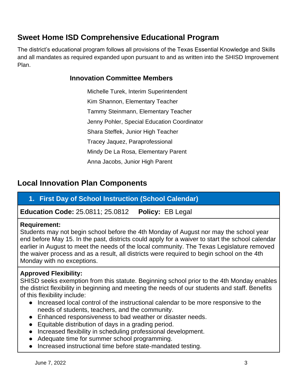## **Sweet Home ISD Comprehensive Educational Program**

The district's educational program follows all provisions of the Texas Essential Knowledge and Skills and all mandates as required expanded upon pursuant to and as written into the SHISD Improvement Plan.

#### **Innovation Committee Members**

Michelle Turek, Interim Superintendent Kim Shannon, Elementary Teacher Tammy Steinmann, Elementary Teacher Jenny Pohler, Special Education Coordinator Shara Steffek, Junior High Teacher Tracey Jaquez, Paraprofessional Mindy De La Rosa, Elementary Parent Anna Jacobs, Junior High Parent

## **Local Innovation Plan Components**

#### **1. First Day of School Instruction (School Calendar)**

**Education Code:** 25.0811; 25.0812 **Policy:** EB Legal

#### **Requirement:**

Students may not begin school before the 4th Monday of August nor may the school year end before May 15. In the past, districts could apply for a waiver to start the school calendar earlier in August to meet the needs of the local community. The Texas Legislature removed the waiver process and as a result, all districts were required to begin school on the 4th Monday with no exceptions.

#### **Approved Flexibility:**

SHISD seeks exemption from this statute. Beginning school prior to the 4th Monday enables the district flexibility in beginning and meeting the needs of our students and staff. Benefits of this flexibility include:

- Increased local control of the instructional calendar to be more responsive to the needs of students, teachers, and the community.
- Enhanced responsiveness to bad weather or disaster needs.
- Equitable distribution of days in a grading period.
- Increased flexibility in scheduling professional development.
- Adequate time for summer school programming.
- Increased instructional time before state-mandated testing.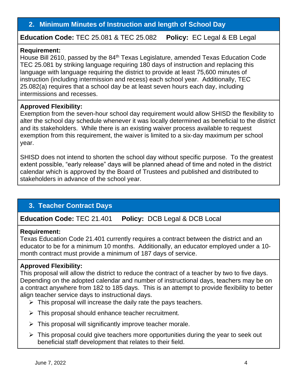#### **2. Minimum Minutes of Instruction and length of School Day**

**Education Code:** TEC 25.081 & TEC 25.082 **Policy:** EC Legal & EB Legal

#### **Requirement:**

House Bill 2610, passed by the 84<sup>th</sup> Texas Legislature, amended Texas Education Code TEC 25.081 by striking language requiring 180 days of instruction and replacing this language with language requiring the district to provide at least 75,600 minutes of instruction (including intermission and recess) each school year. Additionally, TEC 25.082(a) requires that a school day be at least seven hours each day, including intermissions and recesses.

#### **Approved Flexibility:**

Exemption from the seven-hour school day requirement would allow SHISD the flexibility to alter the school day schedule whenever it was locally determined as beneficial to the district and its stakeholders. While there is an existing waiver process available to request exemption from this requirement, the waiver is limited to a six-day maximum per school year.

SHISD does not intend to shorten the school day without specific purpose. To the greatest extent possible, "early release" days will be planned ahead of time and noted in the district calendar which is approved by the Board of Trustees and published and distributed to stakeholders in advance of the school year.

## **3. Teacher Contract Days**

**Education Code:** TEC 21.401 **Policy:** DCB Legal & DCB Local

#### **Requirement:**

Texas Education Code 21.401 currently requires a contract between the district and an educator to be for a minimum 10 months. Additionally, an educator employed under a 10 month contract must provide a minimum of 187 days of service.

#### **Approved Flexibility:**

This proposal will allow the district to reduce the contract of a teacher by two to five days. Depending on the adopted calendar and number of instructional days, teachers may be on a contract anywhere from 182 to 185 days. This is an attempt to provide flexibility to better align teacher service days to instructional days.

- $\triangleright$  This proposal will increase the daily rate the pays teachers.
- $\triangleright$  This proposal should enhance teacher recruitment.
- $\triangleright$  This proposal will significantly improve teacher morale.
- ➢ This proposal could give teachers more opportunities during the year to seek out beneficial staff development that relates to their field.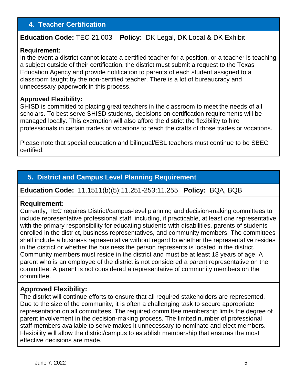#### **4. Teacher Certification**

#### **Education Code:** TEC 21.003 **Policy:** DK Legal, DK Local & DK Exhibit

#### **Requirement:**

In the event a district cannot locate a certified teacher for a position, or a teacher is teaching a subject outside of their certification, the district must submit a request to the Texas Education Agency and provide notification to parents of each student assigned to a classroom taught by the non-certified teacher. There is a lot of bureaucracy and unnecessary paperwork in this process.

#### **Approved Flexibility:**

SHISD is committed to placing great teachers in the classroom to meet the needs of all scholars. To best serve SHISD students, decisions on certification requirements will be managed locally. This exemption will also afford the district the flexibility to hire professionals in certain trades or vocations to teach the crafts of those trades or vocations.

Please note that special education and bilingual/ESL teachers must continue to be SBEC certified.

#### **5. District and Campus Level Planning Requirement**

**Education Code:** 11.1511(b)(5);11.251-253;11.255 **Policy:** BQA, BQB

#### **Requirement:**

Currently, TEC requires District/campus-level planning and decision-making committees to include representative professional staff, including, if practicable, at least one representative with the primary responsibility for educating students with disabilities, parents of students enrolled in the district, business representatives, and community members. The committees shall include a business representative without regard to whether the representative resides in the district or whether the business the person represents is located in the district. Community members must reside in the district and must be at least 18 years of age. A parent who is an employee of the district is not considered a parent representative on the committee. A parent is not considered a representative of community members on the committee.

#### **Approved Flexibility:**

The district will continue efforts to ensure that all required stakeholders are represented. Due to the size of the community, it is often a challenging task to secure appropriate representation on all committees. The required committee membership limits the degree of parent involvement in the decision-making process. The limited number of professional staff-members available to serve makes it unnecessary to nominate and elect members. Flexibility will allow the district/campus to establish membership that ensures the most effective decisions are made.